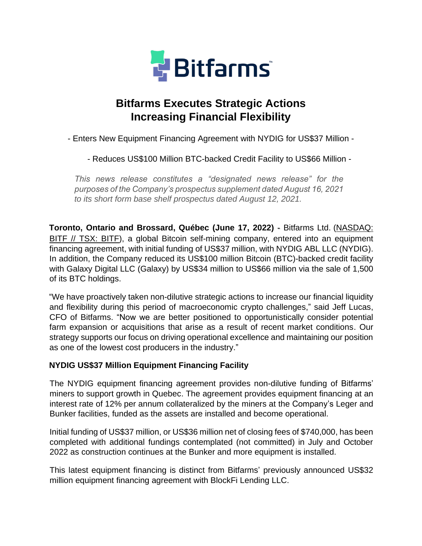

# **Bitfarms Executes Strategic Actions Increasing Financial Flexibility**

- Enters New Equipment Financing Agreement with NYDIG for US\$37 Million -

- Reduces US\$100 Million BTC-backed Credit Facility to US\$66 Million -

*This news release constitutes a "designated news release" for the purposes of the Company's prospectus supplement dated August 16, 2021 to its short form base shelf prospectus dated August 12, 2021.*

**Toronto, Ontario and Brossard, Québec (June 17, 2022)** - [Bitfarms Ltd.](https://cts.businesswire.com/ct/CT?id=smartlink&url=https%3A%2F%2Fbitfarms.com%2F&esheet=52352512&newsitemid=20201222005172&lan=en-US&anchor=Bitfarms+Ltd.&index=1&md5=4e2b5a37e06e1e60e5ebf2e5b16a4b57) (NASDAQ: BITF // TSX: BITF), a global Bitcoin self-mining company, entered into an equipment financing agreement, with initial funding of US\$37 million, with NYDIG ABL LLC (NYDIG). In addition, the Company reduced its US\$100 million Bitcoin (BTC)-backed credit facility with Galaxy Digital LLC (Galaxy) by US\$34 million to US\$66 million via the sale of 1,500 of its BTC holdings.

"We have proactively taken non-dilutive strategic actions to increase our financial liquidity and flexibility during this period of macroeconomic crypto challenges," said Jeff Lucas, CFO of Bitfarms. "Now we are better positioned to opportunistically consider potential farm expansion or acquisitions that arise as a result of recent market conditions. Our strategy supports our focus on driving operational excellence and maintaining our position as one of the lowest cost producers in the industry."

# **NYDIG US\$37 Million Equipment Financing Facility**

The NYDIG equipment financing agreement provides non-dilutive funding of Bitfarms' miners to support growth in Quebec. The agreement provides equipment financing at an interest rate of 12% per annum collateralized by the miners at the Company's Leger and Bunker facilities, funded as the assets are installed and become operational.

Initial funding of US\$37 million, or US\$36 million net of closing fees of \$740,000, has been completed with additional fundings contemplated (not committed) in July and October 2022 as construction continues at the Bunker and more equipment is installed.

This latest equipment financing is distinct from Bitfarms' previously announced US\$32 million equipment financing agreement with BlockFi Lending LLC.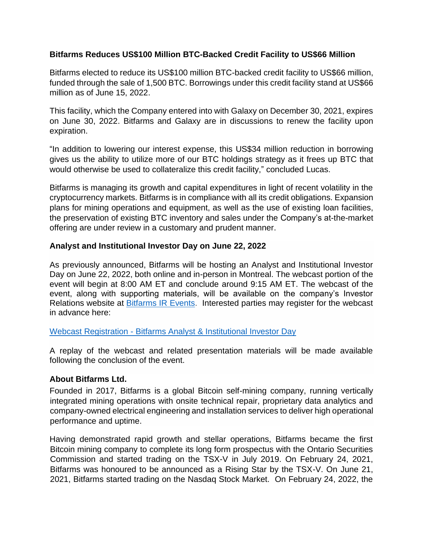## **Bitfarms Reduces US\$100 Million BTC-Backed Credit Facility to US\$66 Million**

Bitfarms elected to reduce its US\$100 million BTC-backed credit facility to US\$66 million, funded through the sale of 1,500 BTC. Borrowings under this credit facility stand at US\$66 million as of June 15, 2022.

This facility, which the Company entered into with Galaxy on December 30, 2021, expires on June 30, 2022. Bitfarms and Galaxy are in discussions to renew the facility upon expiration.

"In addition to lowering our interest expense, this US\$34 million reduction in borrowing gives us the ability to utilize more of our BTC holdings strategy as it frees up BTC that would otherwise be used to collateralize this credit facility," concluded Lucas.

Bitfarms is managing its growth and capital expenditures in light of recent volatility in the cryptocurrency markets. Bitfarms is in compliance with all its credit obligations. Expansion plans for mining operations and equipment, as well as the use of existing loan facilities, the preservation of existing BTC inventory and sales under the Company's at-the-market offering are under review in a customary and prudent manner.

### **Analyst and Institutional Investor Day on June 22, 2022**

As previously announced, Bitfarms will be hosting an Analyst and Institutional Investor Day on June 22, 2022, both online and in-person in Montreal. The webcast portion of the event will begin at 8:00 AM ET and conclude around 9:15 AM ET. The webcast of the event, along with supporting materials, will be available on the company's Investor Relations website at **[Bitfarms IR Events.](https://bitfarms.com/investors/#presentation-and-events)** Interested parties may register for the webcast in advance here:

#### Webcast Registration - [Bitfarms Analyst & Institutional Investor Day](https://event.choruscall.com/mediaframe/webcast.html?webcastid=4y9yGwv1)

A replay of the webcast and related presentation materials will be made available following the conclusion of the event.

# **About Bitfarms Ltd.**

Founded in 2017, Bitfarms is a global Bitcoin self-mining company, running vertically integrated mining operations with onsite technical repair, proprietary data analytics and company-owned electrical engineering and installation services to deliver high operational performance and uptime.

Having demonstrated rapid growth and stellar operations, Bitfarms became the first Bitcoin mining company to complete its long form prospectus with the Ontario Securities Commission and started trading on the TSX-V in July 2019. On February 24, 2021, Bitfarms was honoured to be announced as a Rising Star by the TSX-V. On June 21, 2021, Bitfarms started trading on the Nasdaq Stock Market. On February 24, 2022, the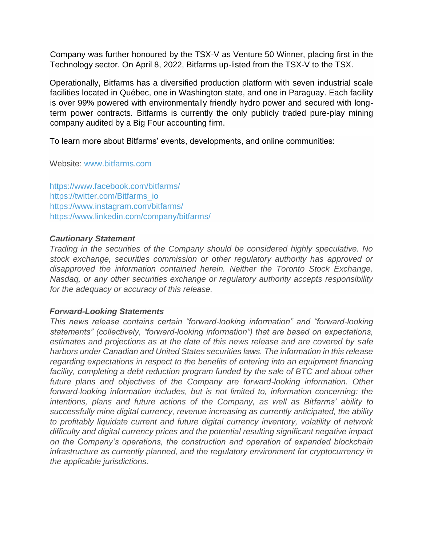Company was further honoured by the TSX-V as Venture 50 Winner, placing first in the Technology sector. On April 8, 2022, Bitfarms up-listed from the TSX-V to the TSX.

Operationally, Bitfarms has a diversified production platform with seven industrial scale facilities located in Québec, one in Washington state, and one in Paraguay. Each facility is over 99% powered with environmentally friendly hydro power and secured with longterm power contracts. Bitfarms is currently the only publicly traded pure-play mining company audited by a Big Four accounting firm.

To learn more about Bitfarms' events, developments, and online communities:

Website: [www.bitfarms.com](https://cts.businesswire.com/ct/CT?id=smartlink&url=http%3A%2F%2Fwww.bitfarms.com&esheet=52352512&newsitemid=20201222005172&lan=en-US&anchor=www.bitfarms.com&index=2&md5=8a9d4e770ff4a5696a36ad864bb10f7e)

[https://www.facebook.com/bitfarms/](https://cts.businesswire.com/ct/CT?id=smartlink&url=https%3A%2F%2Fwww.facebook.com%2Fbitfarms%2F&esheet=52352512&newsitemid=20201222005172&lan=en-US&anchor=https%3A%2F%2Fwww.facebook.com%2Fbitfarms%2F&index=3&md5=b6e44e25b52add15c33e867ef844a87f) [https://twitter.com/Bitfarms\\_io](https://cts.businesswire.com/ct/CT?id=smartlink&url=https%3A%2F%2Ftwitter.com%2FBitfarms_io&esheet=52352512&newsitemid=20201222005172&lan=en-US&anchor=https%3A%2F%2Ftwitter.com%2FBitfarms_io&index=4&md5=ea5504adaee0d8d42bb82da141578a4c) [https://www.instagram.com/bitfarms/](https://cts.businesswire.com/ct/CT?id=smartlink&url=https%3A%2F%2Fwww.instagram.com%2Fbitfarms%2F&esheet=52352512&newsitemid=20201222005172&lan=en-US&anchor=https%3A%2F%2Fwww.instagram.com%2Fbitfarms%2F&index=5&md5=c23e35264dd3b32f731404db5d27ba13) [https://www.linkedin.com/company/bitfarms/](https://cts.businesswire.com/ct/CT?id=smartlink&url=https%3A%2F%2Fwww.linkedin.com%2Fcompany%2Fbitfarms%2F&esheet=52352512&newsitemid=20201222005172&lan=en-US&anchor=https%3A%2F%2Fwww.linkedin.com%2Fcompany%2Fbitfarms%2F&index=6&md5=b1358cccd49bdc78b84622ab953c638b)

#### *Cautionary Statement*

*Trading in the securities of the Company should be considered highly speculative. No stock exchange, securities commission or other regulatory authority has approved or disapproved the information contained herein. Neither the Toronto Stock Exchange, Nasdaq, or any other securities exchange or regulatory authority accepts responsibility for the adequacy or accuracy of this release.*

#### *Forward-Looking Statements*

*This news release contains certain "forward-looking information" and "forward-looking statements" (collectively, "forward-looking information") that are based on expectations, estimates and projections as at the date of this news release and are covered by safe harbors under Canadian and United States securities laws. The information in this release regarding expectations in respect to the benefits of entering into an equipment financing facility, completing a debt reduction program funded by the sale of BTC and about other*  future plans and objectives of the Company are forward-looking information. Other *forward-looking information includes, but is not limited to, information concerning: the intentions, plans and future actions of the Company, as well as Bitfarms' ability to successfully mine digital currency, revenue increasing as currently anticipated, the ability to profitably liquidate current and future digital currency inventory, volatility of network difficulty and digital currency prices and the potential resulting significant negative impact on the Company's operations, the construction and operation of expanded blockchain infrastructure as currently planned, and the regulatory environment for cryptocurrency in the applicable jurisdictions.*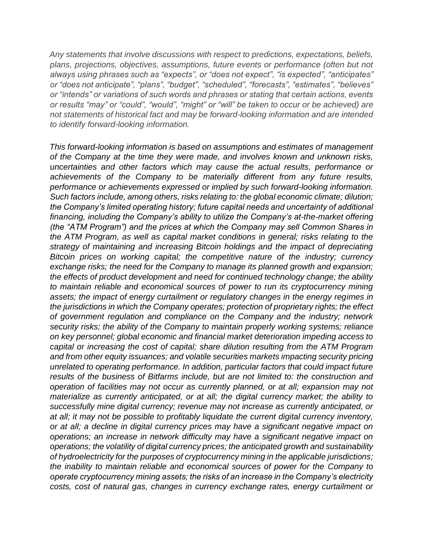*Any statements that involve discussions with respect to predictions, expectations, beliefs, plans, projections, objectives, assumptions, future events or performance (often but not always using phrases such as "expects", or "does not expect", "is expected", "anticipates" or "does not anticipate", "plans", "budget", "scheduled", "forecasts", "estimates", "believes" or "intends" or variations of such words and phrases or stating that certain actions, events or results "may" or "could", "would", "might" or "will" be taken to occur or be achieved) are not statements of historical fact and may be forward-looking information and are intended to identify forward-looking information.*

*This forward-looking information is based on assumptions and estimates of management of the Company at the time they were made, and involves known and unknown risks, uncertainties and other factors which may cause the actual results, performance or achievements of the Company to be materially different from any future results, performance or achievements expressed or implied by such forward-looking information. Such factors include, among others, risks relating to: the global economic climate; dilution; the Company's limited operating history; future capital needs and uncertainty of additional financing, including the Company's ability to utilize the Company's at-the-market offering (the "ATM Program") and the prices at which the Company may sell Common Shares in the ATM Program, as well as capital market conditions in general; risks relating to the strategy of maintaining and increasing Bitcoin holdings and the impact of depreciating Bitcoin prices on working capital; the competitive nature of the industry; currency exchange risks; the need for the Company to manage its planned growth and expansion; the effects of product development and need for continued technology change; the ability to maintain reliable and economical sources of power to run its cryptocurrency mining*  assets; the impact of energy curtailment or regulatory changes in the energy regimes in *the jurisdictions in which the Company operates; protection of proprietary rights; the effect of government regulation and compliance on the Company and the industry; network security risks; the ability of the Company to maintain properly working systems; reliance on key personnel; global economic and financial market deterioration impeding access to capital or increasing the cost of capital; share dilution resulting from the ATM Program and from other equity issuances; and volatile securities markets impacting security pricing unrelated to operating performance. In addition, particular factors that could impact future results of the business of Bitfarms include, but are not limited to: the construction and operation of facilities may not occur as currently planned, or at all; expansion may not materialize as currently anticipated, or at all; the digital currency market; the ability to successfully mine digital currency; revenue may not increase as currently anticipated, or at all; it may not be possible to profitably liquidate the current digital currency inventory, or at all; a decline in digital currency prices may have a significant negative impact on operations; an increase in network difficulty may have a significant negative impact on operations; the volatility of digital currency prices; the anticipated growth and sustainability of hydroelectricity for the purposes of cryptocurrency mining in the applicable jurisdictions; the inability to maintain reliable and economical sources of power for the Company to operate cryptocurrency mining assets; the risks of an increase in the Company's electricity costs, cost of natural gas, changes in currency exchange rates, energy curtailment or*